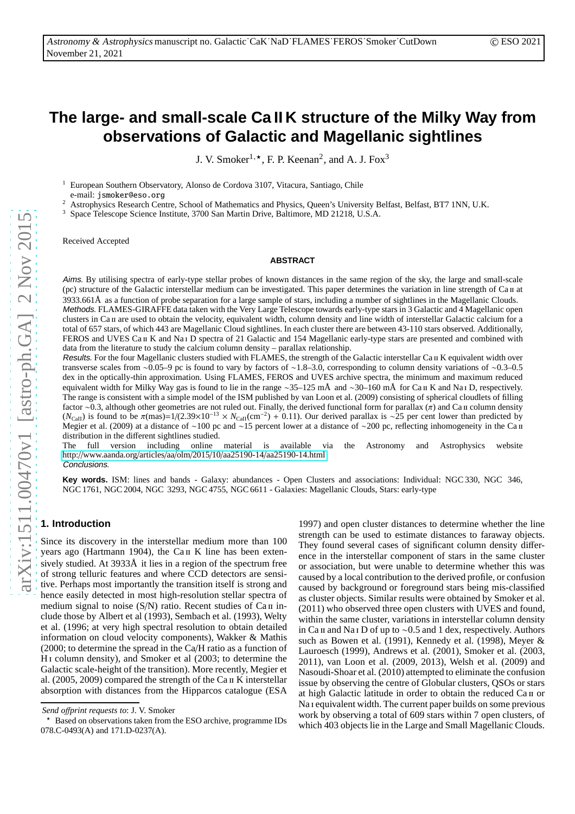# **The large- and small-scale Ca II K structure of the Milky Way from observations of Galactic and Magellanic sightlines**

J. V. Smoker<sup>1,  $\star$ </sup>, F. P. Keenan<sup>2</sup>, and A. J. Fox<sup>3</sup>

<sup>1</sup> European Southern Observatory, Alonso de Cordova 3107, Vitacura, Santiago, Chile e-mail: jsmoker@eso.org

<sup>2</sup> Astrophysics Research Centre, School of Mathematics and Physics, Queen's University Belfast, Belfast, BT7 1NN, U.K.

<sup>3</sup> Space Telescope Science Institute, 3700 San Martin Drive, Baltimore, MD 21218, U.S.A.

Received Accepted

#### **ABSTRACT**

Aims. By utilising spectra of early-type stellar probes of known distances in the same region of the sky, the large and small-scale (pc) structure of the Galactic interstellar medium can be investigated. This paper determines the variation in line strength of Ca II at 3933.661Å as a function of probe separation for a large sample of stars, including a number of sightlines in the Magellanic Clouds. Methods. FLAMES-GIRAFFE data taken with the Very Large Telescope towards early-type stars in 3 Galactic and 4 Magellanic open clusters in Ca ii are used to obtain the velocity, equivalent width, column density and line width of interstellar Galactic calcium for a total of 657 stars, of which 443 are Magellanic Cloud sightlines. In each cluster there are between 43-110 stars observed. Additionally, FEROS and UVES Ca II K and Na<sub>1</sub> D spectra of 21 Galactic and 154 Magellanic early-type stars are presented and combined with data from the literature to study the calcium column density – parallax relationship.

Results. For the four Magellanic clusters studied with FLAMES, the strength of the Galactic interstellar Ca II K equivalent width over transverse scales from ∼0.05–9 pc is found to vary by factors of ∼1.8–3.0, corresponding to column density variations of ∼0.3–0.5 dex in the optically-thin approximation. Using FLAMES, FEROS and UVES archive spectra, the minimum and maximum reduced equivalent width for Milky Way gas is found to lie in the range ~35–125 mÅ and ~30–160 mÅ for Ca π K and Na π D, respectively. The range is consistent with a simple model of the ISM published by van Loon et al. (2009) consisting of spherical cloudlets of filling factor ∼0.3, although other geometries are not ruled out. Finally, the derived functional form for parallax  $(π)$  and Ca II column density  $(N_{\text{CaII}})$  is found to be  $\pi(\text{mas})=1/(2.39\times10^{-13}\times N_{\text{CaII}}(\text{cm}^{-2})+0.11)$ . Our derived parallax is ∼25 per cent lower than predicted by Megier et al. (2009) at a distance of ∼100 pc and ∼15 percent lower at a distance of ∼200 pc, reflecting inhomogeneity in the Ca  $\pi$ distribution in the different sightlines studied.

The full version including online material is available via the Astronomy and Astrophysics website http://www.aanda.org/articles/aa/olm/2015/10/aa25190-14/[aa25190-14.html](http://www.aanda.org/articles/aa/olm/2015/10/aa25190-14/aa25190-14.html) Conclusions.

**Key words.** ISM: lines and bands - Galaxy: abundances - Open Clusters and associations: Individual: NGC 330, NGC 346, NGC 1761, NGC 2004, NGC 3293, NGC 4755, NGC 6611 - Galaxies: Magellanic Clouds, Stars: early-type

# **1. Introduction**

Since its discovery in the interstellar medium more than 100 years ago (Hartmann 1904), the Ca II K line has been extensively studied. At 3933Å it lies in a region of the spectrum free of strong telluric features and where CCD detectors are sensitive. Perhaps most importantly the transition itself is strong and hence easily detected in most high-resolution stellar spectra of medium signal to noise  $(S/N)$  ratio. Recent studies of Ca II include those by Albert et al (1993), Sembach et al. (1993), Welty et al. (1996; at very high spectral resolution to obtain detailed information on cloud velocity components), Wakker & Mathis (2000; to determine the spread in the Ca/H ratio as a function of H i column density), and Smoker et al (2003; to determine the Galactic scale-height of the transition). More recently, Megier et al.  $(2005, 2009)$  compared the strength of the Ca  $\pi$  K interstellar absorption with distances from the Hipparcos catalogue (ESA

1997) and open cluster distances to determine whether the line strength can be used to estimate distances to faraway objects. They found several cases of significant column density difference in the interstellar component of stars in the same cluster or association, but were unable to determine whether this was caused by a local contribution to the derived profile, or confusion caused by background or foreground stars being mis-classified as cluster objects. Similar results were obtained by Smoker et al. (2011) who observed three open clusters with UVES and found, within the same cluster, variations in interstellar column density in Ca ii and Na i D of up to ∼0.5 and 1 dex, respectively. Authors such as Bowen et al. (1991), Kennedy et al. (1998), Meyer & Lauroesch (1999), Andrews et al. (2001), Smoker et al. (2003, 2011), van Loon et al. (2009, 2013), Welsh et al. (2009) and Nasoudi-Shoar et al. (2010) attempted to eliminate the confusion issue by observing the centre of Globular clusters, QSOs or stars at high Galactic latitude in order to obtain the reduced Ca ii or Na i equivalent width. The current paper builds on some previous work by observing a total of 609 stars within 7 open clusters, of which 403 objects lie in the Large and Small Magellanic Clouds.

*Send o*ff*print requests to*: J. V. Smoker

<sup>⋆</sup> Based on observations taken from the ESO archive, programme IDs 078.C-0493(A) and 171.D-0237(A).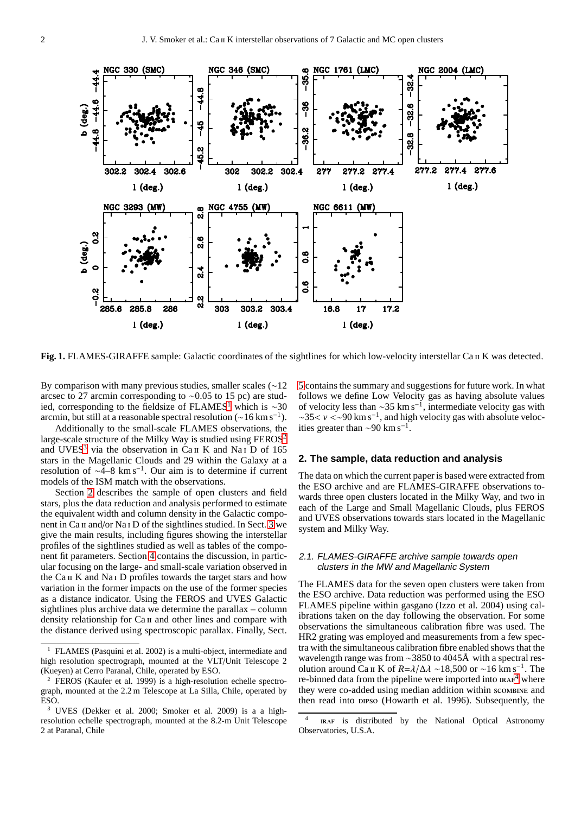

<span id="page-1-5"></span>Fig. 1. FLAMES-GIRAFFE sample: Galactic coordinates of the sightlines for which low-velocity interstellar Ca II K was detected.

By comparison with many previous studies, smaller scales (∼12 arcsec to 27 arcmin corresponding to ∼0.05 to 15 pc) are stud-ied, corresponding to the fieldsize of FLAMES<sup>[1](#page-1-0)</sup> which is  $\sim$ 30 arcmin, but still at a reasonable spectral resolution ( $\sim$ 16 km s<sup>-1</sup>).

Additionally to the small-scale FLAMES observations, the large-scale structure of the Milky Way is studied using FEROS<sup>[2](#page-1-1)</sup> and UVES<sup>[3](#page-1-2)</sup> via the observation in Ca<sub>II</sub> K and Na<sub>I</sub> D of 165 stars in the Magellanic Clouds and 29 within the Galaxy at a resolution of ∼4–8 km s−<sup>1</sup> . Our aim is to determine if current models of the ISM match with the observations.

Section [2](#page-1-3) describes the sample of open clusters and field stars, plus the data reduction and analysis performed to estimate the equivalent width and column density in the Galactic compo-nent in Ca II and/or Na<sub>I</sub> D of the sightlines studied. In Sect. [3](#page-3-0) we give the main results, including figures showing the interstellar profiles of the sightlines studied as well as tables of the component fit parameters. Section [4](#page-3-1) contains the discussion, in particular focusing on the large- and small-scale variation observed in the Ca ii K and Na i D profiles towards the target stars and how variation in the former impacts on the use of the former species as a distance indicator. Using the FEROS and UVES Galactic sightlines plus archive data we determine the parallax – column density relationship for Ca II and other lines and compare with the distance derived using spectroscopic parallax. Finally, Sect.

[5](#page-9-0) contains the summary and suggestions for future work. In what follows we define Low Velocity gas as having absolute values of velocity less than  $\sim$ 35 km s<sup>-1</sup>, intermediate velocity gas with ∼35< *v* <∼90 km s−<sup>1</sup> , and high velocity gas with absolute velocities greater than  $\sim$ 90 km s<sup>-1</sup>.

#### <span id="page-1-3"></span>**2. The sample, data reduction and analysis**

The data on which the current paper is based were extracted from the ESO archive and are FLAMES-GIRAFFE observations towards three open clusters located in the Milky Way, and two in each of the Large and Small Magellanic Clouds, plus FEROS and UVES observations towards stars located in the Magellanic system and Milky Way.

## <span id="page-1-6"></span>2.1. FLAMES-GIRAFFE archive sample towards open clusters in the MW and Magellanic System

The FLAMES data for the seven open clusters were taken from the ESO archive. Data reduction was performed using the ESO FLAMES pipeline within gasgano (Izzo et al. 2004) using calibrations taken on the day following the observation. For some observations the simultaneous calibration fibre was used. The HR2 grating was employed and measurements from a few spectra with the simultaneous calibration fibre enabled shows that the wavelength range was from ∼3850 to 4045Å with a spectral resolution around Ca <sup>II</sup> K of  $R = \lambda/\Delta\lambda \sim 18,500$  or ~16 km s<sup>-1</sup>. The re-binned data from the pipeline were imported into  $IRAF<sup>4</sup>$  $IRAF<sup>4</sup>$  $IRAF<sup>4</sup>$  where they were co-added using median addition within scombine and then read into preso (Howarth et al. 1996). Subsequently, the

<span id="page-1-0"></span><sup>1</sup> FLAMES (Pasquini et al. 2002) is a multi-object, intermediate and high resolution spectrograph, mounted at the VLT/Unit Telescope 2 (Kueyen) at Cerro Paranal, Chile, operated by ESO.

<span id="page-1-1"></span><sup>2</sup> FEROS (Kaufer et al. 1999) is a high-resolution echelle spectrograph, mounted at the 2.2 m Telescope at La Silla, Chile, operated by ESO.

<span id="page-1-2"></span>UVES (Dekker et al. 2000; Smoker et al. 2009) is a a highresolution echelle spectrograph, mounted at the 8.2-m Unit Telescope 2 at Paranal, Chile

<span id="page-1-4"></span><sup>4</sup> iraf is distributed by the National Optical Astronomy Observatories, U.S.A.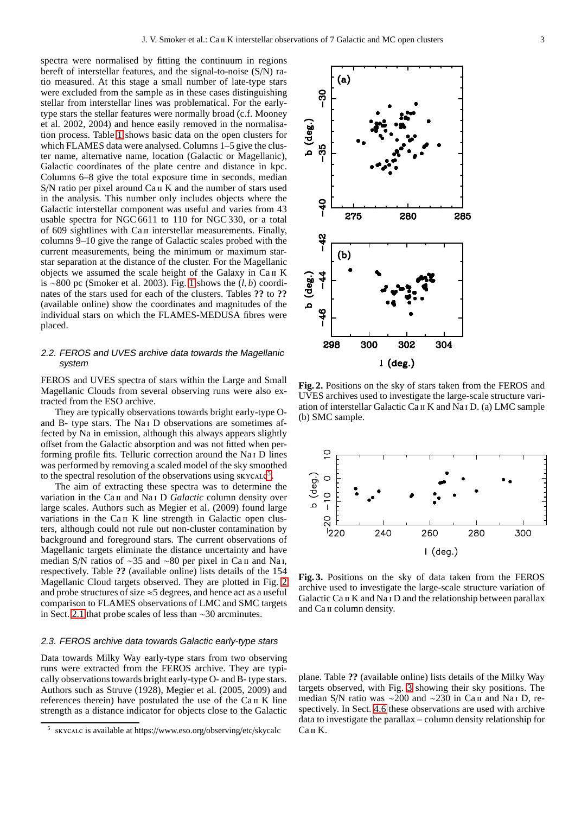spectra were normalised by fitting the continuum in regions bereft of interstellar features, and the signal-to-noise (S/N) ratio measured. At this stage a small number of late-type stars were excluded from the sample as in these cases distinguishing stellar from interstellar lines was problematical. For the earlytype stars the stellar features were normally broad (c.f. Mooney et al. 2002, 2004) and hence easily removed in the normalisation process. Table [1](#page-3-2) shows basic data on the open clusters for which FLAMES data were analysed. Columns 1–5 give the cluster name, alternative name, location (Galactic or Magellanic), Galactic coordinates of the plate centre and distance in kpc. Columns 6–8 give the total exposure time in seconds, median S/N ratio per pixel around Ca II K and the number of stars used in the analysis. This number only includes objects where the Galactic interstellar component was useful and varies from 43 usable spectra for NGC 6611 to 110 for NGC 330, or a total of 609 sightlines with Ca II interstellar measurements. Finally, columns 9–10 give the range of Galactic scales probed with the current measurements, being the minimum or maximum starstar separation at the distance of the cluster. For the Magellanic objects we assumed the scale height of the Galaxy in Ca II K is ∼800 pc (Smoker et al. 2003). Fig. [1](#page-1-5) shows the (*l*, *b*) coordinates of the stars used for each of the clusters. Tables **??** to **??** (available online) show the coordinates and magnitudes of the individual stars on which the FLAMES-MEDUSA fibres were placed.

## 2.2. FEROS and UVES archive data towards the Magellanic system

FEROS and UVES spectra of stars within the Large and Small Magellanic Clouds from several observing runs were also extracted from the ESO archive.

They are typically observations towards bright early-type Oand B- type stars. The Na i D observations are sometimes affected by Na in emission, although this always appears slightly offset from the Galactic absorption and was not fitted when performing profile fits. Telluric correction around the Na i D lines was performed by removing a scaled model of the sky smoothed to the spectral resolution of the observations using  $\frac{1}{2}$ .

The aim of extracting these spectra was to determine the variation in the Ca II and Na<sub>I</sub> D *Galactic* column density over large scales. Authors such as Megier et al. (2009) found large variations in the Ca II K line strength in Galactic open clusters, although could not rule out non-cluster contamination by background and foreground stars. The current observations of Magellanic targets eliminate the distance uncertainty and have median S/N ratios of ~35 and ~80 per pixel in Ca  $\pi$  and Na<sub>1</sub>, respectively. Table **??** (available online) lists details of the 154 Magellanic Cloud targets observed. They are plotted in Fig. [2](#page-2-1) and probe structures of size  $\approx$  5 degrees, and hence act as a useful comparison to FLAMES observations of LMC and SMC targets in Sect. [2.1](#page-1-6) that probe scales of less than ∼30 arcminutes.

#### 2.3. FEROS archive data towards Galactic early-type stars

Data towards Milky Way early-type stars from two observing runs were extracted from the FEROS archive. They are typically observations towards bright early-type O- and B- type stars. Authors such as Struve (1928), Megier et al. (2005, 2009) and references therein) have postulated the use of the Ca II K line strength as a distance indicator for objects close to the Galactic



<span id="page-2-1"></span>**Fig. 2.** Positions on the sky of stars taken from the FEROS and UVES archives used to investigate the large-scale structure variation of interstellar Galactic Ca ii K and Na i D. (a) LMC sample (b) SMC sample.



<span id="page-2-2"></span>**Fig. 3.** Positions on the sky of data taken from the FEROS archive used to investigate the large-scale structure variation of Galactic Ca II K and Na I D and the relationship between parallax and Ca II column density.

plane. Table **??** (available online) lists details of the Milky Way targets observed, with Fig. [3](#page-2-2) showing their sky positions. The median S/N ratio was ∼200 and ∼230 in Ca II and Na I D, respectively. In Sect. [4.6](#page-8-0) these observations are used with archive data to investigate the parallax – column density relationship for Ca ii K.

<span id="page-2-0"></span><sup>5</sup> skycalc is available at https://www.eso.org/observing/etc/skycalc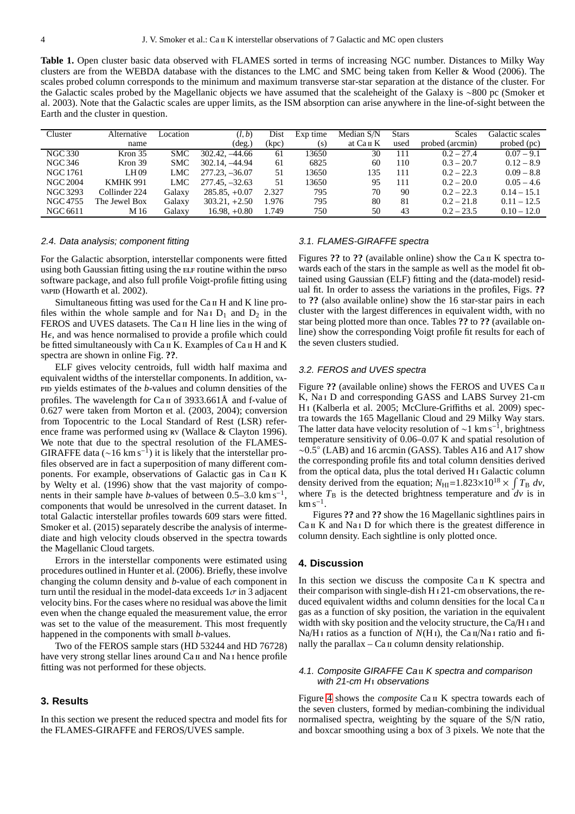<span id="page-3-2"></span>**Table 1.** Open cluster basic data observed with FLAMES sorted in terms of increasing NGC number. Distances to Milky Way clusters are from the WEBDA database with the distances to the LMC and SMC being taken from Keller & Wood (2006). The scales probed column corresponds to the minimum and maximum transverse star-star separation at the distance of the cluster. For the Galactic scales probed by the Magellanic objects we have assumed that the scaleheight of the Galaxy is ∼800 pc (Smoker et al. 2003). Note that the Galactic scales are upper limits, as the ISM absorption can arise anywhere in the line-of-sight between the Earth and the cluster in question.

| Cluster         | Alternative        | Location   | (l,b)            | Dist  | Exp time | Median S/N            | <b>Stars</b> | Scales          | Galactic scales |
|-----------------|--------------------|------------|------------------|-------|----------|-----------------------|--------------|-----------------|-----------------|
|                 | name               |            | $(\text{deg.})$  | (kpc) | (s)      | at Ca <sub>II</sub> K | used         | probed (arcmin) | probed (pc)     |
| <b>NGC 330</b>  | Kron <sub>35</sub> | SMC        | $302.42, -44.66$ | 61    | 13650    | 30                    | 111          | $0.2 - 27.4$    | $0.07 - 9.1$    |
| NGC 346         | Kron 39            | <b>SMC</b> | 302.14, -44.94   | 61    | 6825     | 60                    | 110          | $0.3 - 20.7$    | $0.12 - 8.9$    |
| NGC 1761        | LH <sub>09</sub>   | LMC        | $277.23, -36.07$ | 51    | 13650    | 135                   | 111          | $0.2 - 22.3$    | $0.09 - 8.8$    |
| <b>NGC 2004</b> | <b>KMHK 991</b>    | LMC        | $277.45, -32.63$ | 51    | 13650    | 95                    | 111          | $0.2 - 20.0$    | $0.05 - 4.6$    |
| <b>NGC 3293</b> | Collinder 224      | Galaxy     | $285.85, +0.07$  | 2.327 | 795      | 70                    | 90           | $0.2 - 22.3$    | $0.14 - 15.1$   |
| NGC 4755        | The Jewel Box      | Galaxy     | $303.21 + 2.50$  | 1.976 | 795      | 80                    | 81           | $0.2 - 21.8$    | $0.11 - 12.5$   |
| NGC 6611        | M 16               | Galaxy     | $16.98, +0.80$   | 1.749 | 750      | 50                    | 43           | $0.2 - 23.5$    | $0.10 - 12.0$   |

## 2.4. Data analysis; component fitting

For the Galactic absorption, interstellar components were fitted using both Gaussian fitting using the ELF routine within the DIPSO software package, and also full profile Voigt-profile fitting using vapid (Howarth et al. 2002).

Simultaneous fitting was used for the Ca II H and K line profiles within the whole sample and for Na<sub>I</sub> D<sub>1</sub> and D<sub>2</sub> in the FEROS and UVES datasets. The Ca II H line lies in the wing of H $\epsilon$ , and was hence normalised to provide a profile which could be fitted simultaneously with Ca II K. Examples of Ca II H and K spectra are shown in online Fig. **??**.

ELF gives velocity centroids, full width half maxima and equivalent widths of the interstellar components. In addition, vapid yields estimates of the *b*-values and column densities of the profiles. The wavelength for Ca<sub>II</sub> of 3933.661Å and f-value of 0.627 were taken from Morton et al. (2003, 2004); conversion from Topocentric to the Local Standard of Rest (LSR) reference frame was performed using rv (Wallace & Clayton 1996). We note that due to the spectral resolution of the FLAMES-GIRAFFE data ( $\sim$ 16 km s<sup>-1</sup>) it is likely that the interstellar profiles observed are in fact a superposition of many different components. For example, observations of Galactic gas in Ca II K by Welty et al. (1996) show that the vast majority of components in their sample have *b*-values of between  $0.5-3.0 \text{ km s}^{-1}$ , components that would be unresolved in the current dataset. In total Galactic interstellar profiles towards 609 stars were fitted. Smoker et al. (2015) separately describe the analysis of intermediate and high velocity clouds observed in the spectra towards the Magellanic Cloud targets.

Errors in the interstellar components were estimated using procedures outlined in Hunter et al. (2006). Briefly, these involve changing the column density and *b*-value of each component in turn until the residual in the model-data exceeds  $1\sigma$  in 3 adjacent velocity bins. For the cases where no residual was above the limit even when the change equaled the measurement value, the error was set to the value of the measurement. This most frequently happened in the components with small *b*-values.

Two of the FEROS sample stars (HD 53244 and HD 76728) have very strong stellar lines around Ca II and Na I hence profile fitting was not performed for these objects.

## <span id="page-3-0"></span>**3. Results**

In this section we present the reduced spectra and model fits for the FLAMES-GIRAFFE and FEROS/UVES sample.

## 3.1. FLAMES-GIRAFFE spectra

Figures ?? to ?? (available online) show the Ca II K spectra towards each of the stars in the sample as well as the model fit obtained using Gaussian (ELF) fitting and the (data-model) residual fit. In order to assess the variations in the profiles, Figs. **??** to **??** (also available online) show the 16 star-star pairs in each cluster with the largest differences in equivalent width, with no star being plotted more than once. Tables **??** to **??** (available online) show the corresponding Voigt profile fit results for each of the seven clusters studied.

#### 3.2. FEROS and UVES spectra

Figure ?? (available online) shows the FEROS and UVES Ca II K, Na<sub>I</sub> D and corresponding GASS and LABS Survey 21-cm H i (Kalberla et al. 2005; McClure-Griffiths et al. 2009) spectra towards the 165 Magellanic Cloud and 29 Milky Way stars. The latter data have velocity resolution of  $\sim$ 1 km s<sup>-1</sup>, brightness temperature sensitivity of 0.06–0.07 K and spatial resolution of ∼0.5◦ (LAB) and 16 arcmin (GASS). Tables A16 and A17 show the corresponding profile fits and total column densities derived from the optical data, plus the total derived H i Galactic column density derived from the equation;  $N_{\text{HI}} = 1.823 \times 10^{18} \times \int T_{\text{B}} dv$ , where  $T<sub>B</sub>$  is the detected brightness temperature and  $dv$  is in  $\rm km\,s^{-1}.$ 

Figures **??** and **??** show the 16 Magellanic sightlines pairs in  $Ca<sub>II</sub> K$  and Na<sub>I</sub> D for which there is the greatest difference in column density. Each sightline is only plotted once.

#### <span id="page-3-1"></span>**4. Discussion**

In this section we discuss the composite Ca II K spectra and their comparison with single-dish H i 21-cm observations, the reduced equivalent widths and column densities for the local Ca II gas as a function of sky position, the variation in the equivalent width with sky position and the velocity structure, the Ca/H i and Na/H<sub>I</sub> ratios as a function of  $N(H)$ , the Ca  $\pi/N$ a<sub>I</sub> ratio and finally the parallax  $-$  Ca  $\pi$  column density relationship.

## <span id="page-3-3"></span>4.1. Composite GIRAFFE Ca ii <sup>K</sup> spectra and comparison with  $21$ -cm  $H<sub>I</sub>$  observations

Figure [4](#page-5-0) shows the *composite* Ca<sub>II</sub> K spectra towards each of the seven clusters, formed by median-combining the individual normalised spectra, weighting by the square of the S/N ratio, and boxcar smoothing using a box of 3 pixels. We note that the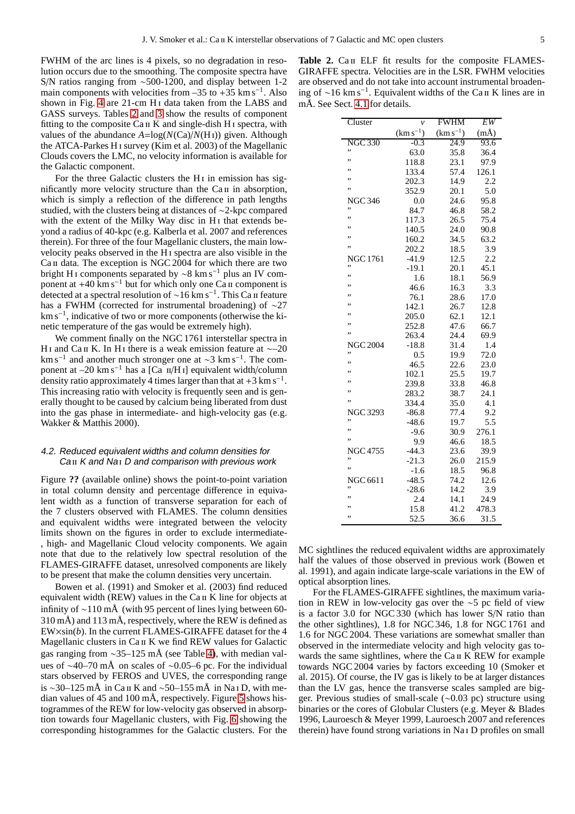FWHM of the arc lines is 4 pixels, so no degradation in resolution occurs due to the smoothing. The composite spectra have S/N ratios ranging from ∼500-1200, and display between 1-2 main components with velocities from  $-35$  to  $+35$  km s<sup>-1</sup>. Also shown in Fig. [4](#page-5-0) are 21-cm H<sub>I</sub> data taken from the LABS and GASS surveys. Tables [2](#page-4-0) and [3](#page-6-0) show the results of component fitting to the composite  $Ca<sub>II</sub> K$  and single-dish H<sub>I</sub> spectra, with values of the abundance  $A = \log(N(Ca)/N(H<sub>I</sub>))$  given. Although the ATCA-Parkes H i survey (Kim et al. 2003) of the Magellanic Clouds covers the LMC, no velocity information is available for the Galactic component.

For the three Galactic clusters the  $H_1$  in emission has significantly more velocity structure than the  $Ca\pi$  in absorption, which is simply a reflection of the difference in path lengths studied, with the clusters being at distances of ∼2-kpc compared with the extent of the Milky Way disc in H<sub>I</sub> that extends beyond a radius of 40-kpc (e.g. Kalberla et al. 2007 and references therein). For three of the four Magellanic clusters, the main lowvelocity peaks observed in the H i spectra are also visible in the Ca II data. The exception is NGC 2004 for which there are two bright H<sub>I</sub> components separated by  $\sim$ 8 km s<sup>-1</sup> plus an IV component at  $+40 \text{ km s}^{-1}$  but for which only one Ca ii component is detected at a spectral resolution of ∼16 km s<sup>−</sup><sup>1</sup> . This Ca ii feature has a FWHM (corrected for instrumental broadening) of ∼27 km s<sup>−</sup><sup>1</sup> , indicative of two or more components (otherwise the kinetic temperature of the gas would be extremely high).

We comment finally on the NGC 1761 interstellar spectra in H i and Ca ii K. In H i there is a weak emission feature at  $\sim$ –20 km s<sup>-1</sup> and another much stronger one at ~3 km s<sup>-1</sup>. The component at –20 km s<sup>-1</sup> has a [Ca  $\pi$ <sub>II</sub>/H<sub>I</sub>] equivalent width/column density ratio approximately 4 times larger than that at  $+3$  km s<sup>-1</sup>. This increasing ratio with velocity is frequently seen and is generally thought to be caused by calcium being liberated from dust into the gas phase in intermediate- and high-velocity gas (e.g. Wakker & Matthis 2000).

## 4.2. Reduced equivalent widths and column densities for Ca II K and Na<sub>I</sub> D and comparison with previous work

Figure **??** (available online) shows the point-to-point variation in total column density and percentage difference in equivalent width as a function of transverse separation for each of the 7 clusters observed with FLAMES. The column densities and equivalent widths were integrated between the velocity limits shown on the figures in order to exclude intermediate- , high- and Magellanic Cloud velocity components. We again note that due to the relatively low spectral resolution of the FLAMES-GIRAFFE dataset, unresolved components are likely to be present that make the column densities very uncertain.

Bowen et al. (1991) and Smoker et al. (2003) find reduced equivalent width (REW) values in the Ca II K line for objects at infinity of ∼110 mÅ (with 95 percent of lines lying between 60- 310 mÅ) and 113 mÅ, respectively, where the REW is defined as EW×sin(*b*). In the current FLAMES-GIRAFFE dataset for the 4 Magellanic clusters in Ca II K we find REW values for Galactic gas ranging from ∼35–125 mÅ (see Table [4\)](#page-6-1), with median values of ∼40–70 mÅ on scales of ∼0.05–6 pc. For the individual stars observed by FEROS and UVES, the corresponding range is ∼30–125 mÅ in Ca ii K and ∼50–155 mÅ in Na i D, with median values of 45 and 100 mÅ, respectively. Figure [5](#page-7-0) shows histogrammes of the REW for low-velocity gas observed in absorption towards four Magellanic clusters, with Fig. [6](#page-7-1) showing the corresponding histogrammes for the Galactic clusters. For the

<span id="page-4-0"></span>Table 2. Ca II ELF fit results for the composite FLAMES-GIRAFFE spectra. Velocities are in the LSR. FWHM velocities are observed and do not take into account instrumental broadening of ∼16 km s<sup>−</sup><sup>1</sup> . Equivalent widths of the Ca ii K lines are in mÅ. See Sect. [4.1](#page-3-3) for details.

| Cluster         | $\mathcal{V}$ | <b>FWHM</b>   | EW       |  |
|-----------------|---------------|---------------|----------|--|
|                 | $(km s^{-1})$ | $(km s^{-1})$ | $(m\AA)$ |  |
| <b>NGC 330</b>  | $-0.3$        | 24.9          | 93.6     |  |
| ,,              | 63.0          | 35.8          | 36.4     |  |
| ,,              | 118.8         | 23.1          | 97.9     |  |
| ,,              | 133.4         | 57.4          | 126.1    |  |
| ,,              | 202.3         | 14.9          | 2.2      |  |
| ,,              | 352.9         | 20.1          | 5.0      |  |
| <b>NGC 346</b>  | 0.0           | 24.6          | 95.8     |  |
| ,,              | 84.7          | 46.8          | 58.2     |  |
| ,,              | 117.3         | 26.5          | 75.4     |  |
| ,,              | 140.5         | 24.0          | 90.8     |  |
| ,,              | 160.2         | 34.5          | 63.2     |  |
| ,,              | 202.2         | 18.5          | 3.9      |  |
| <b>NGC 1761</b> | $-41.9$       | 12.5          | 2.2      |  |
| ,,              | $-19.1$       | 20.1          | 45.1     |  |
| ,,              | 1.6           | 18.1          | 56.9     |  |
| ,,              | 46.6          | 16.3          | 3.3      |  |
| ,,              | 76.1          | 28.6          | 17.0     |  |
| ,,              | 142.1         | 26.7          | 12.8     |  |
| ,,              | 205.0         | 62.1          | 12.1     |  |
| ,,              | 252.8         | 47.6          | 66.7     |  |
| ,,              | 263.4         | 24.4          | 69.9     |  |
| <b>NGC 2004</b> | $-18.8$       | 31.4          | 1.4      |  |
| ,,              | 0.5           | 19.9          | 72.0     |  |
| ,,              | 46.5          | 22.6          | 23.0     |  |
| ,,              | 102.1         | 25.5          | 19.7     |  |
| ,,              | 239.8         | 33.8          | 46.8     |  |
| ,,              | 283.2         | 38.7          | 24.1     |  |
| ,,              | 334.4         | 35.0          | 4.1      |  |
| <b>NGC 3293</b> | $-86.8$       | 77.4          | 9.2      |  |
| ,,              | $-48.6$       | 19.7          | 5.5      |  |
| ,,              | $-9.6$        | 30.9          | 276.1    |  |
| ,,              | 9.9           | 46.6          | 18.5     |  |
| <b>NGC 4755</b> | $-44.3$       | 23.6          | 39.9     |  |
| ,,              | $-21.3$       | 26.0          | 215.9    |  |
| ,,              | $-1.6$        | 18.5          | 96.8     |  |
| <b>NGC 6611</b> | $-48.5$       | 74.2          | 12.6     |  |
| ,,              | $-28.6$       | 14.2          | 3.9      |  |
| ,,              | 2.4           | 14.1          | 24.9     |  |
|                 | 15.8          | 41.2          | 478.3    |  |
| ,,              | 52.5          | 36.6          | 31.5     |  |

MC sightlines the reduced equivalent widths are approximately half the values of those observed in previous work (Bowen et al. 1991), and again indicate large-scale variations in the EW of optical absorption lines.

For the FLAMES-GIRAFFE sightlines, the maximum variation in REW in low-velocity gas over the ∼5 pc field of view is a factor 3.0 for NGC 330 (which has lower S/N ratio than the other sightlines), 1.8 for NGC 346, 1.8 for NGC 1761 and 1.6 for NGC 2004. These variations are somewhat smaller than observed in the intermediate velocity and high velocity gas towards the same sightlines, where the Ca II K REW for example towards NGC 2004 varies by factors exceeding 10 (Smoker et al. 2015). Of course, the IV gas is likely to be at larger distances than the LV gas, hence the transverse scales sampled are bigger. Previous studies of small-scale (∼0.03 pc) structure using binaries or the cores of Globular Clusters (e.g. Meyer & Blades 1996, Lauroesch & Meyer 1999, Lauroesch 2007 and references therein) have found strong variations in Na i D profiles on small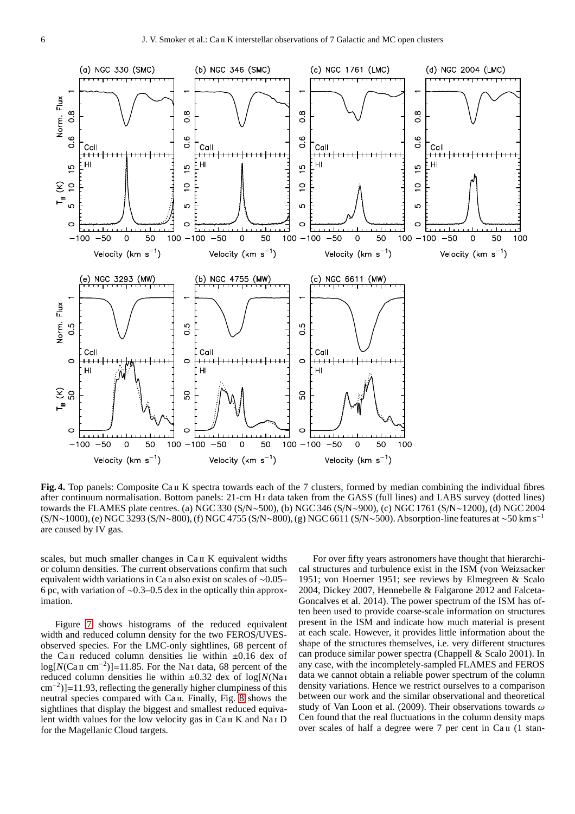

<span id="page-5-0"></span>**Fig. 4.** Top panels: Composite Ca II K spectra towards each of the 7 clusters, formed by median combining the individual fibres after continuum normalisation. Bottom panels: 21-cm H<sub>I</sub> data taken from the GASS (full lines) and LABS survey (dotted lines) towards the FLAMES plate centres. (a) NGC 330 (S/N∼500), (b) NGC 346 (S/N∼900), (c) NGC 1761 (S/N∼1200), (d) NGC 2004 (S/N∼1000), (e) NGC 3293 (S/N∼800), (f) NGC 4755 (S/N∼800), (g) NGC 6611 (S/N∼500). Absorption-line features at ∼50 km s−<sup>1</sup> are caused by IV gas.

scales, but much smaller changes in Ca II K equivalent widths or column densities. The current observations confirm that such equivalent width variations in Ca ii also exist on scales of ∼0.05– 6 pc, with variation of ∼0.3–0.5 dex in the optically thin approximation.

Figure [7](#page-6-2) shows histograms of the reduced equivalent width and reduced column density for the two FEROS/UVESobserved species. For the LMC-only sightlines, 68 percent of the Ca II reduced column densities lie within  $\pm 0.16$  dex of log[ $N(Ca \text{ if } cm^{-2})$ ]=11.85. For the Na<sub>I</sub> data, 68 percent of the reduced column densities lie within  $\pm 0.32$  dex of log[ $N$ (Na<sub>I</sub> cm<sup>−</sup><sup>2</sup> )]=11.93, reflecting the generally higher clumpiness of this neutral species compared with Ca II. Finally, Fig. [8](#page-8-1) shows the sightlines that display the biggest and smallest reduced equivalent width values for the low velocity gas in Ca II K and Na<sub>I</sub> D for the Magellanic Cloud targets.

For over fifty years astronomers have thought that hierarchical structures and turbulence exist in the ISM (von Weizsacker 1951; von Hoerner 1951; see reviews by Elmegreen & Scalo 2004, Dickey 2007, Hennebelle & Falgarone 2012 and Falceta-Goncalves et al. 2014). The power spectrum of the ISM has often been used to provide coarse-scale information on structures present in the ISM and indicate how much material is present at each scale. However, it provides little information about the shape of the structures themselves, i.e. very different structures can produce similar power spectra (Chappell & Scalo 2001). In any case, with the incompletely-sampled FLAMES and FEROS data we cannot obtain a reliable power spectrum of the column density variations. Hence we restrict ourselves to a comparison between our work and the similar observational and theoretical study of Van Loon et al. (2009). Their observations towards  $\omega$ Cen found that the real fluctuations in the column density maps over scales of half a degree were  $7$  per cent in  $Ca<sub>II</sub>$  (1 stan-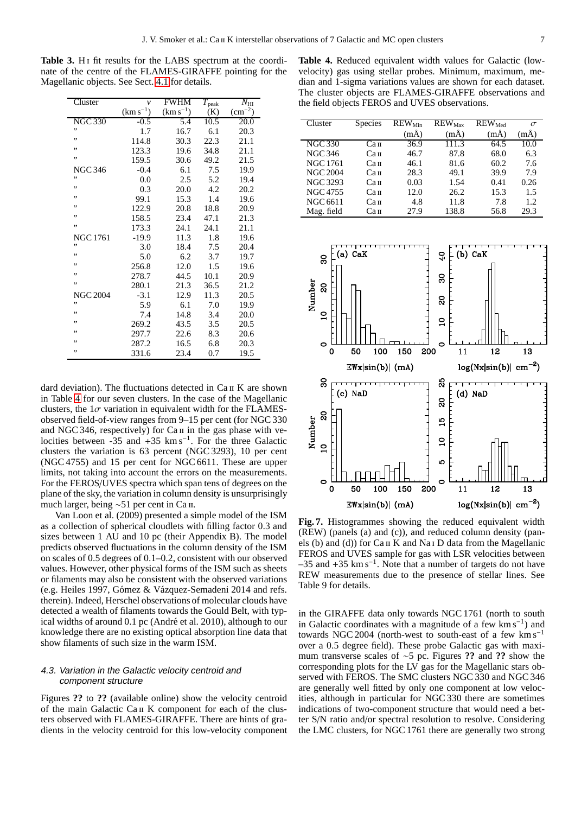Table 3. H<sub>I</sub> fit results for the LABS spectrum at the coordinate of the centre of the FLAMES-GIRAFFE pointing for the Magellanic objects. See Sect. [4.1](#page-3-3) for details.

<span id="page-6-0"></span>

| Cluster         | $\mathcal{V}$ | <b>FWHM</b>   | $T_{\rm peak}$ | $N_{\rm HI}$ |  |
|-----------------|---------------|---------------|----------------|--------------|--|
|                 | $(km s^{-1})$ | $(km s^{-1})$ | (K)            | $(cm^{-2})$  |  |
| <b>NGC 330</b>  | $-0.5$        | 5.4           | 10.5           | 20.0         |  |
| ,,              | 1.7           | 16.7          | 6.1            | 20.3         |  |
| ,,              | 114.8         | 30.3          | 22.3           | 21.1         |  |
| ,,              | 123.3         | 19.6          | 34.8           | 21.1         |  |
| ,,              | 159.5         | 30.6          | 49.2           | 21.5         |  |
| <b>NGC 346</b>  | -0.4          | 6.1           | 7.5            | 19.9         |  |
| ,,              | 0.0           | 2.5           | 5.2            | 19.4         |  |
| ,,              | 0.3           | 20.0          | 4.2            | 20.2         |  |
| ,,              | 99.1          | 15.3          | 1.4            | 19.6         |  |
| ,,              | 122.9         | 20.8          | 18.8           | 20.9         |  |
| ,,              | 158.5         | 23.4          | 47.1           | 21.3         |  |
| ,,              | 173.3         | 24.1          | 24.1           | 21.1         |  |
| <b>NGC 1761</b> | $-19.9$       | 11.3          | 1.8            | 19.6         |  |
| ,,              | 3.0           | 18.4          | 7.5            | 20.4         |  |
| ,,              | 5.0           | 6.2           | 3.7            | 19.7         |  |
| ,,              | 256.8         | 12.0          | 1.5            | 19.6         |  |
| ,,              | 278.7         | 44.5          | 10.1           | 20.9         |  |
| ,,              | 280.1         | 21.3          | 36.5           | 21.2         |  |
| <b>NGC 2004</b> | $-3.1$        | 12.9          | 11.3           | 20.5         |  |
| ,,              | 5.9           | 6.1           | 7.0            | 19.9         |  |
| ,,              | 7.4           | 14.8          | 3.4            | 20.0         |  |
| ,,              | 269.2         | 43.5          | 3.5            | 20.5         |  |
| ,,              | 297.7         | 22.6          | 8.3            | 20.6         |  |
| ,,              | 287.2         | 16.5          | 6.8            | 20.3         |  |
| ,,              | 331.6         | 23.4          | 0.7            | 19.5         |  |

dard deviation). The fluctuations detected in  $Ca<sub>II</sub> K$  are shown in Table [4](#page-6-1) for our seven clusters. In the case of the Magellanic clusters, the  $1\sigma$  variation in equivalent width for the FLAMESobserved field-of-view ranges from 9–15 per cent (for NGC 330 and NGC 346, respectively) for Ca II in the gas phase with velocities between -35 and +35 km s<sup>-1</sup>. For the three Galactic clusters the variation is 63 percent (NGC 3293), 10 per cent (NGC 4755) and 15 per cent for NGC 6611. These are upper limits, not taking into account the errors on the measurements. For the FEROS/UVES spectra which span tens of degrees on the plane of the sky, the variation in column density is unsurprisingly much larger, being ∼51 per cent in Ca II.

Van Loon et al. (2009) presented a simple model of the ISM as a collection of spherical cloudlets with filling factor 0.3 and sizes between 1 AU and 10 pc (their Appendix B). The model predicts observed fluctuations in the column density of the ISM on scales of 0.5 degrees of 0.1–0.2, consistent with our observed values. However, other physical forms of the ISM such as sheets or filaments may also be consistent with the observed variations (e.g. Heiles 1997, Gómez & Vázquez-Semadeni 2014 and refs. therein). Indeed, Herschel observations of molecular clouds have detected a wealth of filaments towards the Gould Belt, with typical widths of around  $0.1$  pc (André et al. 2010), although to our knowledge there are no existing optical absorption line data that show filaments of such size in the warm ISM.

## 4.3. Variation in the Galactic velocity centroid and component structure

Figures **??** to **??** (available online) show the velocity centroid of the main Galactic Ca ii K component for each of the clusters observed with FLAMES-GIRAFFE. There are hints of gradients in the velocity centroid for this low-velocity component

<span id="page-6-1"></span>**Table 4.** Reduced equivalent width values for Galactic (lowvelocity) gas using stellar probes. Minimum, maximum, median and 1-sigma variations values are shown for each dataset. The cluster objects are FLAMES-GIRAFFE observations and the field objects FEROS and UVES observations.

| Cluster         | <b>Species</b> | $REW_{Min}$ | $REW_{Max}$ | $REW_{Med}$ | $\sigma$ |
|-----------------|----------------|-------------|-------------|-------------|----------|
|                 |                | $(m\AA)$    | $(m\AA)$    | $(m\AA)$    | (mÅ)     |
| <b>NGC 330</b>  | Сап            | 36.9        | 111.3       | 64.5        | 10.0     |
| <b>NGC 346</b>  | Сап            | 46.7        | 87.8        | 68.0        | 6.3      |
| <b>NGC 1761</b> | Сап            | 46.1        | 81.6        | 60.2        | 7.6      |
| <b>NGC 2004</b> | Сап            | 28.3        | 49.1        | 39.9        | 7.9      |
| <b>NGC 3293</b> | Сап            | 0.03        | 1.54        | 0.41        | 0.26     |
| NGC 4755        | Сап            | 12.0        | 26.2        | 15.3        | 1.5      |
| <b>NGC 6611</b> | Сап            | 4.8         | 11.8        | 7.8         | 1.2      |
| Mag. field      | Сап            | 27.9        | 138.8       | 56.8        | 29.3     |



<span id="page-6-2"></span>**Fig. 7.** Histogrammes showing the reduced equivalent width (REW) (panels (a) and (c)), and reduced column density (panels (b) and (d)) for  $Ca$  ii K and Na i D data from the Magellanic FEROS and UVES sample for gas with LSR velocities between  $-35$  and  $+35$  km s<sup>-1</sup>. Note that a number of targets do not have REW measurements due to the presence of stellar lines. See Table 9 for details.

in the GIRAFFE data only towards NGC 1761 (north to south in Galactic coordinates with a magnitude of a few  $km s^{-1}$ ) and towards NGC 2004 (north-west to south-east of a few km s<sup>−1</sup> over a 0.5 degree field). These probe Galactic gas with maximum transverse scales of ∼5 pc. Figures **??** and **??** show the corresponding plots for the LV gas for the Magellanic stars observed with FEROS. The SMC clusters NGC 330 and NGC 346 are generally well fitted by only one component at low velocities, although in particular for NGC 330 there are sometimes indications of two-component structure that would need a better S/N ratio and/or spectral resolution to resolve. Considering the LMC clusters, for NGC 1761 there are generally two strong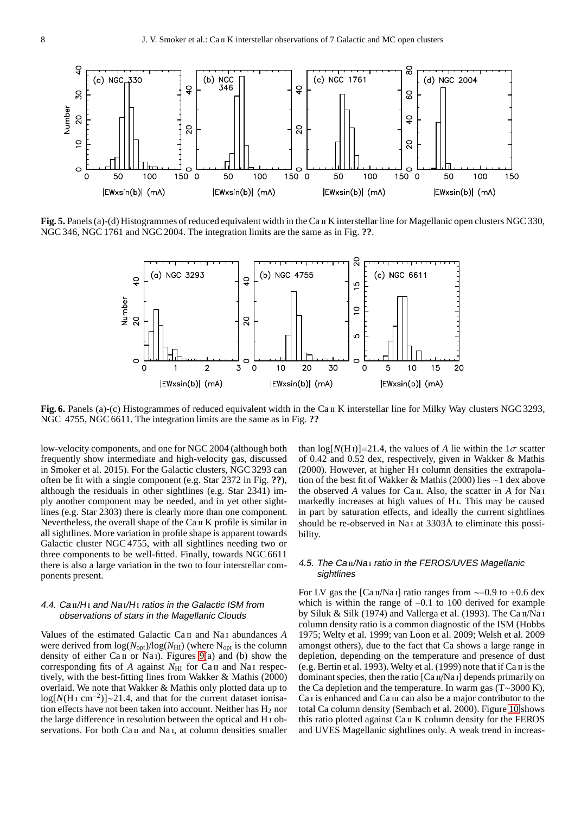

<span id="page-7-0"></span>Fig. 5. Panels (a)-(d) Histogrammes of reduced equivalent width in the Ca II K interstellar line for Magellanic open clusters NGC 330, NGC 346, NGC 1761 and NGC 2004. The integration limits are the same as in Fig. **??**.



<span id="page-7-1"></span>**Fig. 6.** Panels (a)-(c) Histogrammes of reduced equivalent width in the Ca II K interstellar line for Milky Way clusters NGC 3293. NGC 4755, NGC 6611. The integration limits are the same as in Fig. **??**

low-velocity components, and one for NGC 2004 (although both frequently show intermediate and high-velocity gas, discussed in Smoker et al. 2015). For the Galactic clusters, NGC 3293 can often be fit with a single component (e.g. Star 2372 in Fig. **??**), although the residuals in other sightlines (e.g. Star 2341) imply another component may be needed, and in yet other sightlines (e.g. Star 2303) there is clearly more than one component. Nevertheless, the overall shape of the Ca II K profile is similar in all sightlines. More variation in profile shape is apparent towards Galactic cluster NGC 4755, with all sightlines needing two or three components to be well-fitted. Finally, towards NGC 6611 there is also a large variation in the two to four interstellar components present.

## 4.4.  $Ca<sub>II</sub>/H<sub>I</sub>$  and Na $I/H<sub>I</sub>$  ratios in the Galactic ISM from observations of stars in the Magellanic Clouds

Values of the estimated Galactic Ca ii and Na i abundances *A* were derived from  $\log(N_{\text{opt}})/\log(N_{\text{HI}})$  (where N<sub>opt</sub> is the column density of either  $Ca_{II}$  or Na<sub>I</sub>). Figures [9\(](#page-8-2)a) and (b) show the corresponding fits of *A* against *N*<sub>HI</sub> for Ca<sub>II</sub> and Na<sub>I</sub> respectively, with the best-fitting lines from Wakker & Mathis (2000) overlaid. We note that Wakker & Mathis only plotted data up to log[N(H<sub>1</sub> cm<sup>-2</sup>)]∼21.4, and that for the current dataset ionisation effects have not been taken into account. Neither has  $H_2$  nor the large difference in resolution between the optical and H i observations. For both Ca II and Na I, at column densities smaller

than  $\log[N(H_1)] = 21.4$ , the values of *A* lie within the  $1\sigma$  scatter of 0.42 and 0.52 dex, respectively, given in Wakker & Mathis  $(2000)$ . However, at higher H<sub>1</sub> column densities the extrapolation of the best fit of Wakker & Mathis (2000) lies ∼1 dex above the observed *A* values for Ca ii. Also, the scatter in *A* for Na i markedly increases at high values of H<sub>1</sub>. This may be caused in part by saturation effects, and ideally the current sightlines should be re-observed in Na<sub>I</sub> at 3303Å to eliminate this possibility.

## 4.5. The Ca II/Na I ratio in the FEROS/UVES Magellanic sightlines

For LV gas the [Ca  $\pi$ /Na i] ratio ranges from ~–0.9 to +0.6 dex which is within the range of –0.1 to 100 derived for example by Siluk & Silk (1974) and Vallerga et al. (1993). The Ca $\pi/Na$  i column density ratio is a common diagnostic of the ISM (Hobbs 1975; Welty et al. 1999; van Loon et al. 2009; Welsh et al. 2009 amongst others), due to the fact that Ca shows a large range in depletion, depending on the temperature and presence of dust (e.g. Bertin et al. 1993). Welty et al. (1999) note that if  $Ca$   $\pi$  is the dominant species, then the ratio  $[Ca<sub>II</sub>/Na<sub>I</sub>]$  depends primarily on the Ca depletion and the temperature. In warm gas (T∼3000 K), Ca<sub>I</sub> is enhanced and C<sub>a</sub> III can also be a major contributor to the total Ca column density (Sembach et al. 2000). Figure [10](#page-8-3) shows this ratio plotted against Ca ii K column density for the FEROS and UVES Magellanic sightlines only. A weak trend in increas-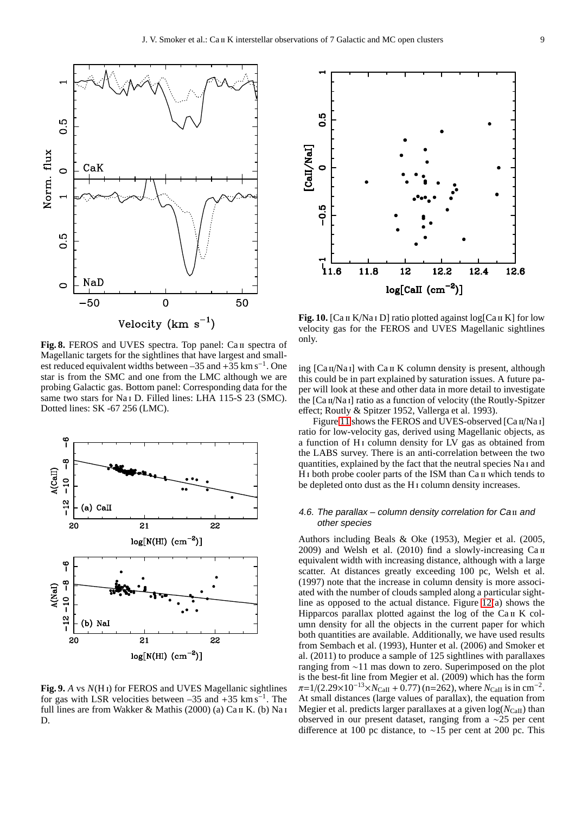

<span id="page-8-1"></span>Fig. 8. FEROS and UVES spectra. Top panel: Ca II spectra of Magellanic targets for the sightlines that have largest and smallest reduced equivalent widths between –35 and +35 km s<sup>-1</sup>. One star is from the SMC and one from the LMC although we are probing Galactic gas. Bottom panel: Corresponding data for the same two stars for Na<sub>I</sub> D. Filled lines: LHA 115-S 23 (SMC). Dotted lines: SK -67 256 (LMC).



<span id="page-8-2"></span>**Fig. 9.** *A* vs *N*(H i) for FEROS and UVES Magellanic sightlines for gas with LSR velocities between  $-35$  and  $+35$  km s<sup>-1</sup>. The full lines are from Wakker & Mathis (2000) (a)  $Ca \pi K$ . (b) Na i D.



<span id="page-8-3"></span>Fig. 10. [Ca II K/Na I D] ratio plotted against log[Ca II K] for low velocity gas for the FEROS and UVES Magellanic sightlines only.

ing  $[Ca<sub>II</sub>/Na<sub>I</sub>]$  with  $Ca<sub>II</sub> K$  column density is present, although this could be in part explained by saturation issues. A future paper will look at these and other data in more detail to investigate the [Ca II/Na I] ratio as a function of velocity (the Routly-Spitzer effect; Routly & Spitzer 1952, Vallerga et al. 1993).

Figure [11](#page-9-1) shows the FEROS and UVES-observed [Ca II/Na I] ratio for low-velocity gas, derived using Magellanic objects, as a function of H<sub>I</sub> column density for LV gas as obtained from the LABS survey. There is an anti-correlation between the two quantities, explained by the fact that the neutral species Na i and H<sub>I</sub> both probe cooler parts of the ISM than Ca II which tends to be depleted onto dust as the H i column density increases.

## <span id="page-8-0"></span>4.6. The parallax  $-$  column density correlation for Ca $\scriptstyle\rm II$  and other species

Authors including Beals & Oke (1953), Megier et al. (2005,  $2009$ ) and Welsh et al. (2010) find a slowly-increasing  $Ca<sub>II</sub>$ equivalent width with increasing distance, although with a large scatter. At distances greatly exceeding 100 pc, Welsh et al. (1997) note that the increase in column density is more associated with the number of clouds sampled along a particular sightline as opposed to the actual distance. Figure [12\(](#page-10-0)a) shows the Hipparcos parallax plotted against the log of the Ca II K column density for all the objects in the current paper for which both quantities are available. Additionally, we have used results from Sembach et al. (1993), Hunter et al. (2006) and Smoker et al. (2011) to produce a sample of 125 sightlines with parallaxes ranging from ∼11 mas down to zero. Superimposed on the plot is the best-fit line from Megier et al. (2009) which has the form  $\pi$ =1/(2.29×10<sup>-13</sup>×*N*<sub>CaII</sub> + 0.77) (n=262), where *N*<sub>CaII</sub> is in cm<sup>-2</sup>. At small distances (large values of parallax), the equation from Megier et al. predicts larger parallaxes at a given  $log(N_{CaII})$  than observed in our present dataset, ranging from a ∼25 per cent difference at 100 pc distance, to ∼15 per cent at 200 pc. This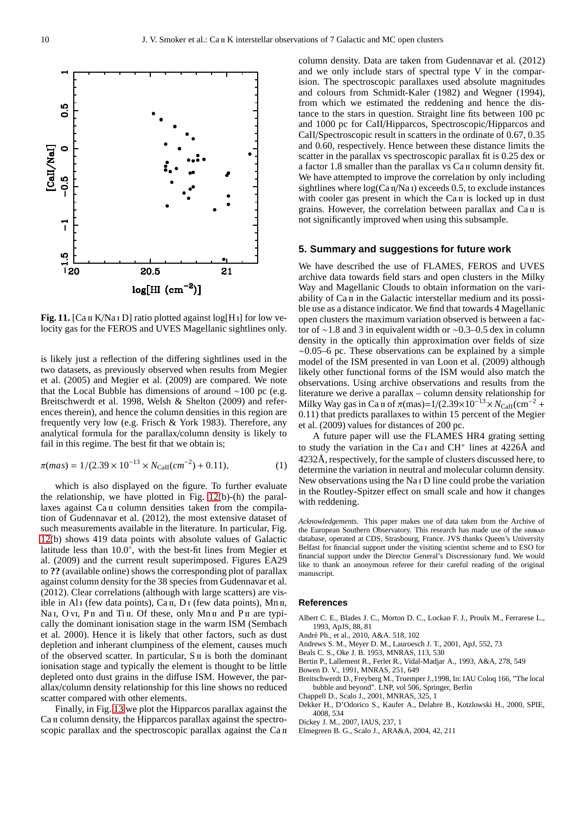

<span id="page-9-1"></span>**Fig. 11.** [Ca II K/Na I D] ratio plotted against log[H<sub>I</sub>] for low velocity gas for the FEROS and UVES Magellanic sightlines only.

is likely just a reflection of the differing sightlines used in the two datasets, as previously observed when results from Megier et al. (2005) and Megier et al. (2009) are compared. We note that the Local Bubble has dimensions of around ∼100 pc (e.g. Breitschwerdt et al. 1998, Welsh & Shelton (2009) and references therein), and hence the column densities in this region are frequently very low (e.g. Frisch & York 1983). Therefore, any analytical formula for the parallax/column density is likely to fail in this regime. The best fit that we obtain is;

$$
\pi(mas) = 1/(2.39 \times 10^{-13} \times N_{\text{Call}}(cm^{-2}) + 0.11),\tag{1}
$$

which is also displayed on the figure. To further evaluate the relationship, we have plotted in Fig. [12\(](#page-10-0)b)-(h) the parallaxes against Ca II column densities taken from the compilation of Gudennavar et al. (2012), the most extensive dataset of such measurements available in the literature. In particular, Fig. [12\(](#page-10-0)b) shows 419 data points with absolute values of Galactic latitude less than  $10.0\degree$ , with the best-fit lines from Megier et al. (2009) and the current result superimposed. Figures EA29 to **??** (available online) shows the corresponding plot of parallax against column density for the 38 species from Gudennavar et al. (2012). Clear correlations (although with large scatters) are visible in Al<sub>I</sub> (few data points), Ca<sub>II</sub>, D<sub>I</sub> (few data points), Mn<sub>II</sub>, Na I, O vI, P II and Ti II. Of these, only Mn II and P II are typically the dominant ionisation stage in the warm ISM (Sembach et al. 2000). Hence it is likely that other factors, such as dust depletion and inherant clumpiness of the element, causes much of the observed scatter. In particular,  $S \text{II}$  is both the dominant ionisation stage and typically the element is thought to be little depleted onto dust grains in the diffuse ISM. However, the parallax/column density relationship for this line shows no reduced scatter compared with other elements.

Finally, in Fig. [13](#page-11-0) we plot the Hipparcos parallax against the Ca II column density, the Hipparcos parallax against the spectroscopic parallax and the spectroscopic parallax against the Ca  $\pi$  column density. Data are taken from Gudennavar et al. (2012) and we only include stars of spectral type V in the comparision. The spectroscopic parallaxes used absolute magnitudes and colours from Schmidt-Kaler (1982) and Wegner (1994), from which we estimated the reddening and hence the distance to the stars in question. Straight line fits between 100 pc and 1000 pc for CaII/Hipparcos, Spectroscopic/Hipparcos and CaII/Spectroscopic result in scatters in the ordinate of 0.67, 0.35 and 0.60, respectively. Hence between these distance limits the scatter in the parallax vs spectroscopic parallax fit is 0.25 dex or a factor 1.8 smaller than the parallax vs Ca ii column density fit. We have attempted to improve the correlation by only including sightlines where  $log(Ca \pi/Na)$  exceeds 0.5, to exclude instances with cooler gas present in which the  $Ca<sub>II</sub>$  is locked up in dust grains. However, the correlation between parallax and Ca II is not significantly improved when using this subsample.

#### <span id="page-9-0"></span>**5. Summary and suggestions for future work**

We have described the use of FLAMES, FEROS and UVES archive data towards field stars and open clusters in the Milky Way and Magellanic Clouds to obtain information on the variability of Ca II in the Galactic interstellar medium and its possible use as a distance indicator. We find that towards 4 Magellanic open clusters the maximum variation observed is between a factor of ∼1.8 and 3 in equivalent width or ∼0.3–0.5 dex in column density in the optically thin approximation over fields of size  $\sim$ 0.05–6 pc. These observations can be explained by a simple model of the ISM presented in van Loon et al. (2009) although likely other functional forms of the ISM would also match the observations. Using archive observations and results from the literature we derive a parallax – column density relationship for Milky Way gas in Ca II of  $\pi$ (mas)=1/(2.39×10<sup>-13</sup>× $N_{CaII}$ (cm<sup>-2</sup> + 0.11) that predicts parallaxes to within 15 percent of the Megier et al. (2009) values for distances of 200 pc.

A future paper will use the FLAMES HR4 grating setting to study the variation in the Ca<sub>I</sub> and CH<sup>+</sup> lines at 4226Å and 4232Å, respectively, for the sample of clusters discussed here, to determine the variation in neutral and molecular column density. New observations using the Na i D line could probe the variation in the Routley-Spitzer effect on small scale and how it changes with reddening.

*Acknowledgements.* This paper makes use of data taken from the Archive of the European Southern Observatory. This research has made use of the simbad database, operated at CDS, Strasbourg, France. JVS thanks Queen's University Belfast for financial support under the visiting scientist scheme and to ESO for financial support under the Director General's Discressionary fund. We would like to thank an anonymous referee for their careful reading of the original manuscript.

#### **References**

Albert C. E., Blades J. C., Morton D. C., Lockan F. J., Proulx M., Ferrarese L., 1993, ApJS, 88, 81

André Ph., et al., 2010, A&A. 518, 102

Andrews S. M., Meyer D. M., Lauroesch J. T., 2001, ApJ, 552, 73

Beals C. S., Oke J. B. 1953, MNRAS, 113, 530

Bertin P., Lallement R., Ferlet R., Vidal-Madjar A., 1993, A&A, 278, 549

Bowen D. V., 1991, MNRAS, 251, 649

Breitschwerdt D., Freyberg M., Truemper J.,1998, In: IAU Coloq 166, "The local bubble and beyond". LNP, vol 506, Springer, Berlin

Chappell D., Scalo J., 2001, MNRAS, 325, 1

Dekker H., D'Odorico S., Kaufer A., Delabre B., Kotzlowski H., 2000, SPIE, 4008, 534

Dickey J. M., 2007, IAUS, 237, 1

Elmegreen B. G., Scalo J., ARA&A, 2004, 42, 211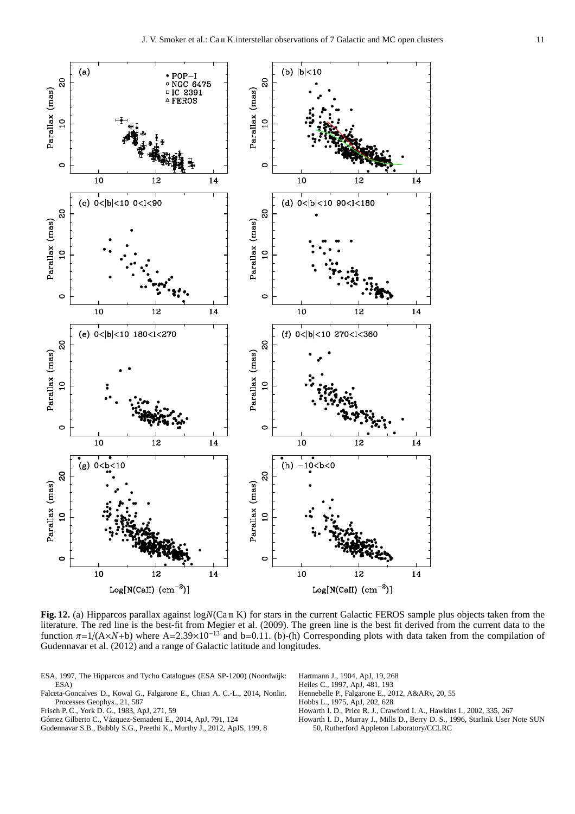

<span id="page-10-0"></span>**Fig. 12.** (a) Hipparcos parallax against  $logN(Ca \text{ if } K)$  for stars in the current Galactic FEROS sample plus objects taken from the literature. The red line is the best-fit from Megier et al. (2009). The green line is the best fit derived from the current data to the function  $\pi = 1/(A \times N+b)$  where A=2.39×10<sup>-13</sup> and b=0.11. (b)-(h) Corresponding plots with data taken from the compilation of Gudennavar et al. (2012) and a range of Galactic latitude and longitudes.

- ESA, 1997, The Hipparcos and Tycho Catalogues (ESA SP-1200) (Noordwijk: ESA)
- Falceta-Goncalves D., Kowal G., Falgarone E., Chian A. C.-L., 2014, Nonlin. Processes Geophys., 21, 587
- Frisch P. C., York D. G., 1983, ApJ, 271, 59
- Gómez Gilberto C., Vázquez-Semadeni E., 2014, ApJ, 791, 124
- Gudennavar S.B., Bubbly S.G., Preethi K., Murthy J., 2012, ApJS, 199, 8
- Hartmann J., 1904, ApJ, 19, 268
- Heiles C., 1997, ApJ, 481, 193
- Hennebelle P., Falgarone E., 2012, A&ARv, 20, 55
- Hobbs L., 1975, ApJ, 202, 628
- Howarth I. D., Price R. J., Crawford I. A., Hawkins I., 2002, 335, 267 Howarth I. D., Murray J., Mills D., Berry D. S., 1996, Starlink User Note SUN
- 50, Rutherford Appleton Laboratory/CCLRC